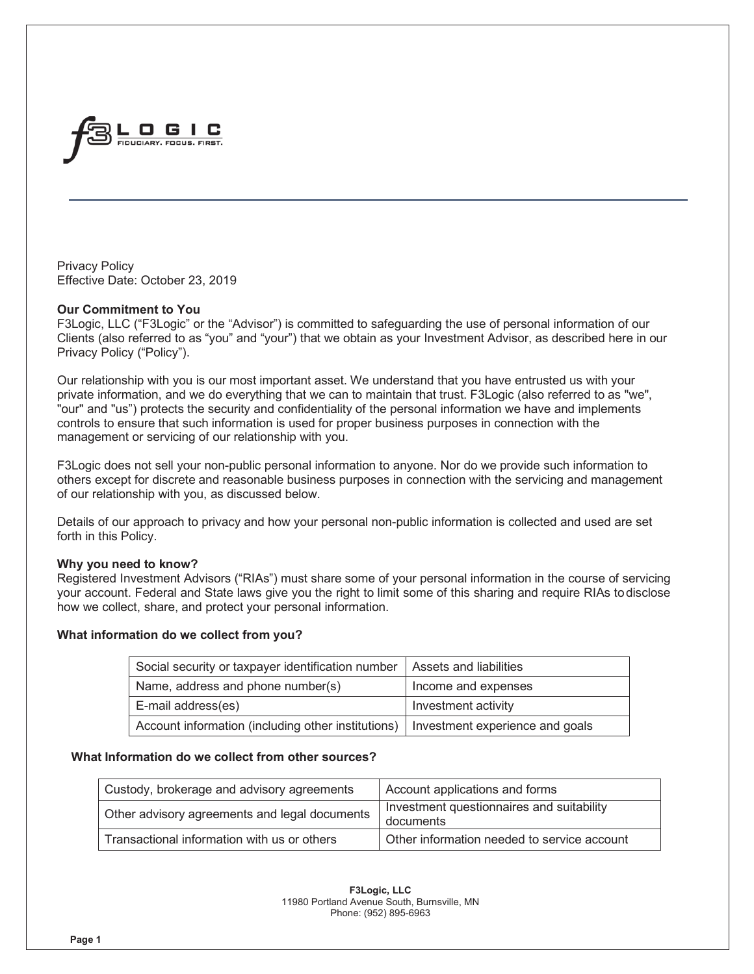

Privacy Policy Effective Date: October 23, 2019

#### **Our Commitment to You**

F3Logic, LLC ("F3Logic" or the "Advisor") is committed to safeguarding the use of personal information of our Clients (also referred to as "you" and "your") that we obtain as your Investment Advisor, as described here in our Privacy Policy ("Policy").

Our relationship with you is our most important asset. We understand that you have entrusted us with your private information, and we do everything that we can to maintain that trust. F3Logic (also referred to as "we", "our" and "us") protects the security and confidentiality of the personal information we have and implements controls to ensure that such information is used for proper business purposes in connection with the management or servicing of our relationship with you.

F3Logic does not sell your non-public personal information to anyone. Nor do we provide such information to others except for discrete and reasonable business purposes in connection with the servicing and management of our relationship with you, as discussed below.

Details of our approach to privacy and how your personal non-public information is collected and used are set forth in this Policy.

# **Why you need to know?**

Registered Investment Advisors ("RIAs") must share some of your personal information in the course of servicing your account. Federal and State laws give you the right to limit some of this sharing and require RIAs to disclose how we collect, share, and protect your personal information.

# **What information do we collect from you?**

| Social security or taxpayer identification number   Assets and liabilities           |                     |  |
|--------------------------------------------------------------------------------------|---------------------|--|
| Name, address and phone number(s)                                                    | Income and expenses |  |
| E-mail address(es)                                                                   | Investment activity |  |
| Account information (including other institutions)   Investment experience and goals |                     |  |

# **What Information do we collect from other sources?**

| Custody, brokerage and advisory agreements    | Account applications and forms                         |
|-----------------------------------------------|--------------------------------------------------------|
| Other advisory agreements and legal documents | Investment questionnaires and suitability<br>documents |
| Transactional information with us or others   | Other information needed to service account            |

**F3Logic, LLC** 11980 Portland Avenue South, Burnsville, MN Phone: (952) 895-6963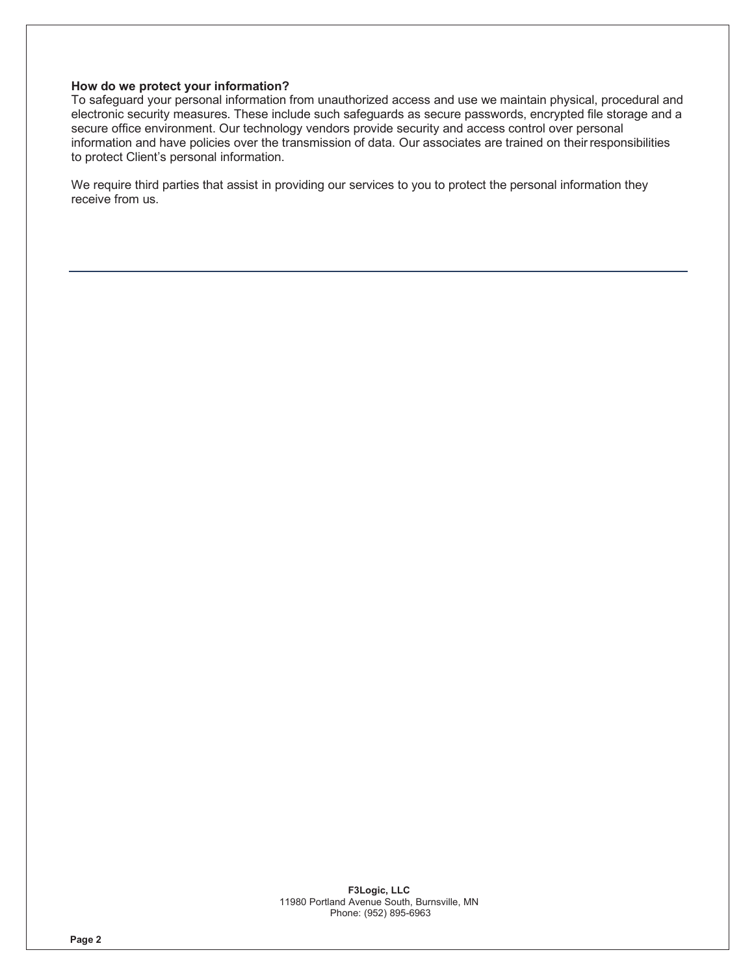#### **How do we protect your information?**

To safeguard your personal information from unauthorized access and use we maintain physical, procedural and electronic security measures. These include such safeguards as secure passwords, encrypted file storage and a secure office environment. Our technology vendors provide security and access control over personal information and have policies over the transmission of data. Our associates are trained on their responsibilities to protect Client's personal information.

We require third parties that assist in providing our services to you to protect the personal information they receive from us.

> **F3Logic, LLC** 11980 Portland Avenue South, Burnsville, MN Phone: (952) 895-6963